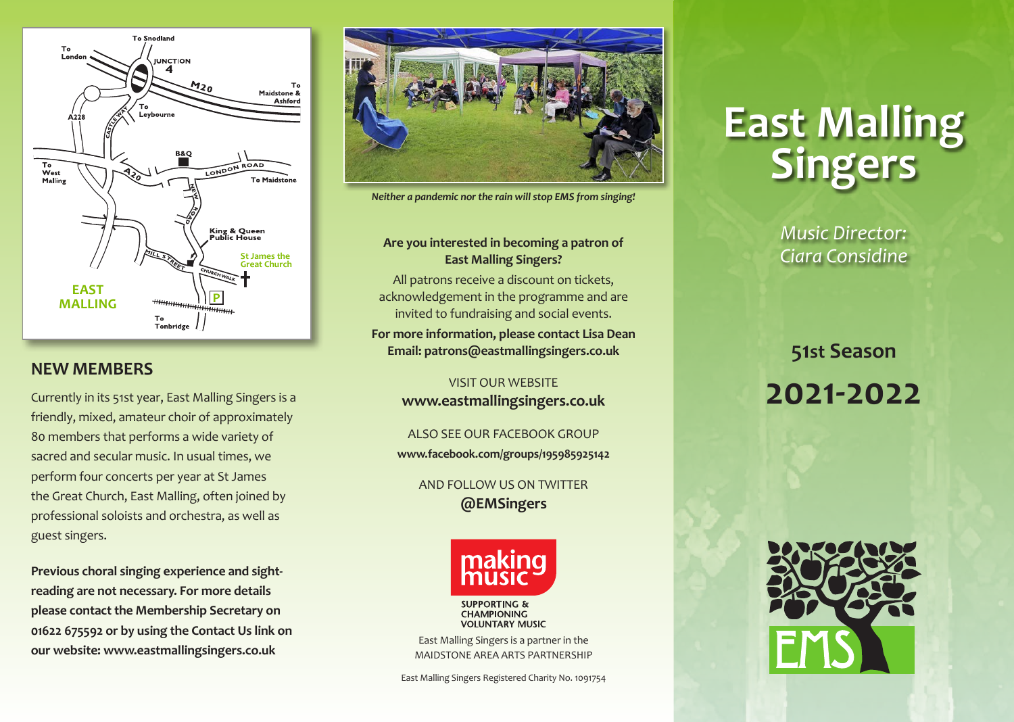

#### **NEW MEMBERS**

Currently in its 51st year, East Malling Singers is a friendly, mixed, amateur choir of approximately 80 members that performs a wide variety of sacred and secular music. In usual times, we perform four concerts per year at St James the Great Church, East Malling, often joined by professional soloists and orchestra, as well as guest singers.

**Previous choral singing experience and sightreading are not necessary. For more details please contact the Membership Secretary on 01622 675592 or by using the Contact Us link on our website: www.eastmallingsingers.co.uk**



*Neither a pandemic nor the rain will stop EMS from singing!*

#### **Are you interested in becoming a patron of East Malling Singers?**

All patrons receive a discount on tickets, acknowledgement in the programme and are invited to fundraising and social events.

**For more information, please contact Lisa Dean Email: patrons@eastmallingsingers.co.uk**

> VISIT OUR WEBSITE **www.eastmallingsingers.co.uk**

ALSO SEE OUR FACEBOOK GROUP **www.facebook.com/groups/195985925142**

> AND FOLLOW US ON TWITTER **@EMSingers**



East Malling Singers is a partner in the MAIDSTONE AREA ARTS PARTNERSHIP

East Malling Singers Registered Charity No. 1091754

# **East Malling<br>Singers**

*Music Director: Ciara Considine*

**51st Season**

**2021-2022**